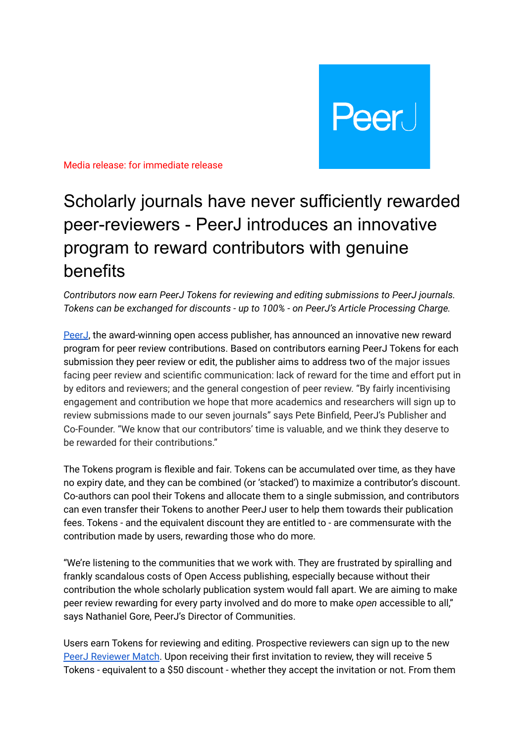

Media release: for immediate release

## Scholarly journals have never sufficiently rewarded peer-reviewers - PeerJ introduces an innovative program to reward contributors with genuine benefits

*Contributors now earn PeerJ Tokens for reviewing and editing submissions to PeerJ journals. Tokens can be exchanged for discounts - up to 100% - on PeerJ's Article Processing Charge.*

[PeerJ](https://peerj.com/), the award-winning open access publisher, has announced an innovative new reward program for peer review contributions. Based on contributors earning PeerJ Tokens for each submission they peer review or edit, the publisher aims to address two of the major issues facing peer review and scientific communication: lack of reward for the time and effort put in by editors and reviewers; and the general congestion of peer review. "By fairly incentivising engagement and contribution we hope that more academics and researchers will sign up to review submissions made to our seven journals" says Pete Binfield, PeerJ's Publisher and Co-Founder. "We know that our contributors' time is valuable, and we think they deserve to be rewarded for their contributions."

The Tokens program is flexible and fair. Tokens can be accumulated over time, as they have no expiry date, and they can be combined (or 'stacked') to maximize a contributor's discount. Co-authors can pool their Tokens and allocate them to a single submission, and contributors can even transfer their Tokens to another PeerJ user to help them towards their publication fees. Tokens - and the equivalent discount they are entitled to - are commensurate with the contribution made by users, rewarding those who do more.

"We're listening to the communities that we work with. They are frustrated by spiralling and frankly scandalous costs of Open Access publishing, especially because without their contribution the whole scholarly publication system would fall apart. We are aiming to make peer review rewarding for every party involved and do more to make *open* accessible to all," says Nathaniel Gore, PeerJ's Director of Communities.

Users earn Tokens for reviewing and editing. Prospective reviewers can sign up to the new PeerJ [Reviewer](https://peerj.com/reviewer-match/register) Match. Upon receiving their first invitation to review, they will receive 5 Tokens - equivalent to a \$50 discount - whether they accept the invitation or not. From them